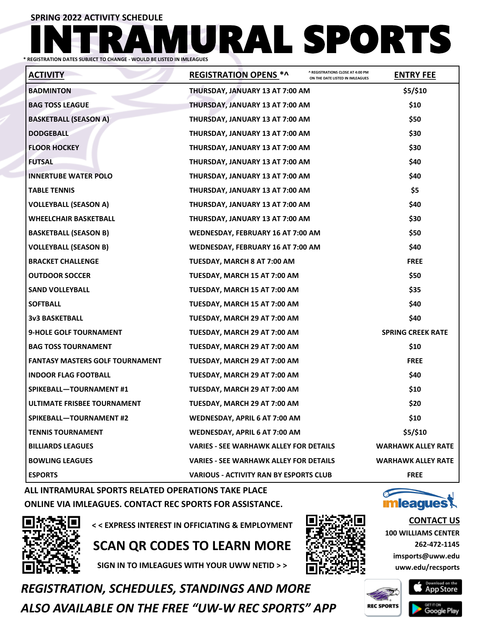**SPRING 2022 ACTIVITY SCHEDULE**

# URAL SPORTS **\* REGISTRATION DATES SUBJECT TO CHANGE - WOULD BE LISTED IN IMLEAGUES**

| <b>ACTIVITY</b>                        | <b>REGISTRATION OPENS *^</b>                  | ^ REGISTRATIONS CLOSE AT 4:00 PM<br>ON THE DATE LISTED IN IMLEAGUES | <b>ENTRY FEE</b>          |
|----------------------------------------|-----------------------------------------------|---------------------------------------------------------------------|---------------------------|
| <b>BADMINTON</b>                       | THURSDAY, JANUARY 13 AT 7:00 AM               |                                                                     | \$5/\$10                  |
| <b>BAG TOSS LEAGUE</b>                 | THURSDAY, JANUARY 13 AT 7:00 AM               |                                                                     | \$10                      |
| <b>BASKETBALL (SEASON A)</b>           | THURSDAY, JANUARY 13 AT 7:00 AM               |                                                                     | \$50                      |
| <b>DODGEBALL</b>                       | THURSDAY, JANUARY 13 AT 7:00 AM               |                                                                     | \$30                      |
| <b>FLOOR HOCKEY</b>                    | THURSDAY, JANUARY 13 AT 7:00 AM               |                                                                     | \$30                      |
| <b>FUTSAL</b>                          | THURSDAY, JANUARY 13 AT 7:00 AM               |                                                                     | \$40                      |
| <b>INNERTUBE WATER POLO</b>            | THURSDAY, JANUARY 13 AT 7:00 AM               |                                                                     | \$40                      |
| <b>TABLE TENNIS</b>                    | THURSDAY, JANUARY 13 AT 7:00 AM               |                                                                     | \$5                       |
| <b>VOLLEYBALL (SEASON A)</b>           | THURSDAY, JANUARY 13 AT 7:00 AM               |                                                                     | \$40                      |
| <b>WHEELCHAIR BASKETBALL</b>           | THURSDAY, JANUARY 13 AT 7:00 AM               |                                                                     | \$30                      |
| <b>BASKETBALL (SEASON B)</b>           | WEDNESDAY, FEBRUARY 16 AT 7:00 AM             |                                                                     | \$50                      |
| <b>VOLLEYBALL (SEASON B)</b>           | WEDNESDAY, FEBRUARY 16 AT 7:00 AM             |                                                                     | \$40                      |
| <b>BRACKET CHALLENGE</b>               | <b>TUESDAY, MARCH 8 AT 7:00 AM</b>            |                                                                     | <b>FREE</b>               |
| <b>OUTDOOR SOCCER</b>                  | TUESDAY, MARCH 15 AT 7:00 AM                  |                                                                     | \$50                      |
| <b>SAND VOLLEYBALL</b>                 | TUESDAY, MARCH 15 AT 7:00 AM                  |                                                                     | \$35                      |
| <b>SOFTBALL</b>                        | TUESDAY, MARCH 15 AT 7:00 AM                  |                                                                     | \$40                      |
| <b>3v3 BASKETBALL</b>                  | TUESDAY, MARCH 29 AT 7:00 AM                  |                                                                     | \$40                      |
| <b>9-HOLE GOLF TOURNAMENT</b>          | TUESDAY, MARCH 29 AT 7:00 AM                  |                                                                     | <b>SPRING CREEK RATE</b>  |
| <b>BAG TOSS TOURNAMENT</b>             | TUESDAY, MARCH 29 AT 7:00 AM                  |                                                                     | \$10                      |
| <b>FANTASY MASTERS GOLF TOURNAMENT</b> | TUESDAY, MARCH 29 AT 7:00 AM                  |                                                                     | <b>FREE</b>               |
| <b>INDOOR FLAG FOOTBALL</b>            | TUESDAY, MARCH 29 AT 7:00 AM                  |                                                                     | \$40                      |
| SPIKEBALL-TOURNAMENT#1                 | TUESDAY, MARCH 29 AT 7:00 AM                  |                                                                     | \$10                      |
| ULTIMATE FRISBEE TOURNAMENT            | TUESDAY, MARCH 29 AT 7:00 AM                  |                                                                     | \$20                      |
| SPIKEBALL-TOURNAMENT#2                 | WEDNESDAY, APRIL 6 AT 7:00 AM                 |                                                                     | \$10                      |
| <b>TENNIS TOURNAMENT</b>               | WEDNESDAY, APRIL 6 AT 7:00 AM                 |                                                                     | \$5/\$10                  |
| <b>BILLIARDS LEAGUES</b>               | <b>VARIES - SEE WARHAWK ALLEY FOR DETAILS</b> |                                                                     | <b>WARHAWK ALLEY RATE</b> |
| <b>BOWLING LEAGUES</b>                 | <b>VARIES - SEE WARHAWK ALLEY FOR DETAILS</b> |                                                                     | <b>WARHAWK ALLEY RATE</b> |
| <b>ESPORTS</b>                         | <b>VARIOUS - ACTIVITY RAN BY ESPORTS CLUB</b> |                                                                     | <b>FREE</b>               |

**ALL INTRAMURAL SPORTS RELATED OPERATIONS TAKE PLACE ONLINE VIA IMLEAGUES. CONTACT REC SPORTS FOR ASSISTANCE.**



**< < EXPRESS INTEREST IN OFFICIATING & EMPLOYMENT**

**SIGN IN TO IMLEAGUES WITH YOUR UWW NETID > >**

**SCAN QR CODES TO LEARN MORE**



 $\sigma$ **imleagues** 

**CONTACT US 100 WILLIAMS CENTER 262-472-1145**

**uww.edu/recsports**



*REGISTRATION, SCHEDULES, STANDINGS AND MORE* 

*ALSO AVAILABLE ON THE FREE "UW-W REC SPORTS" APP*